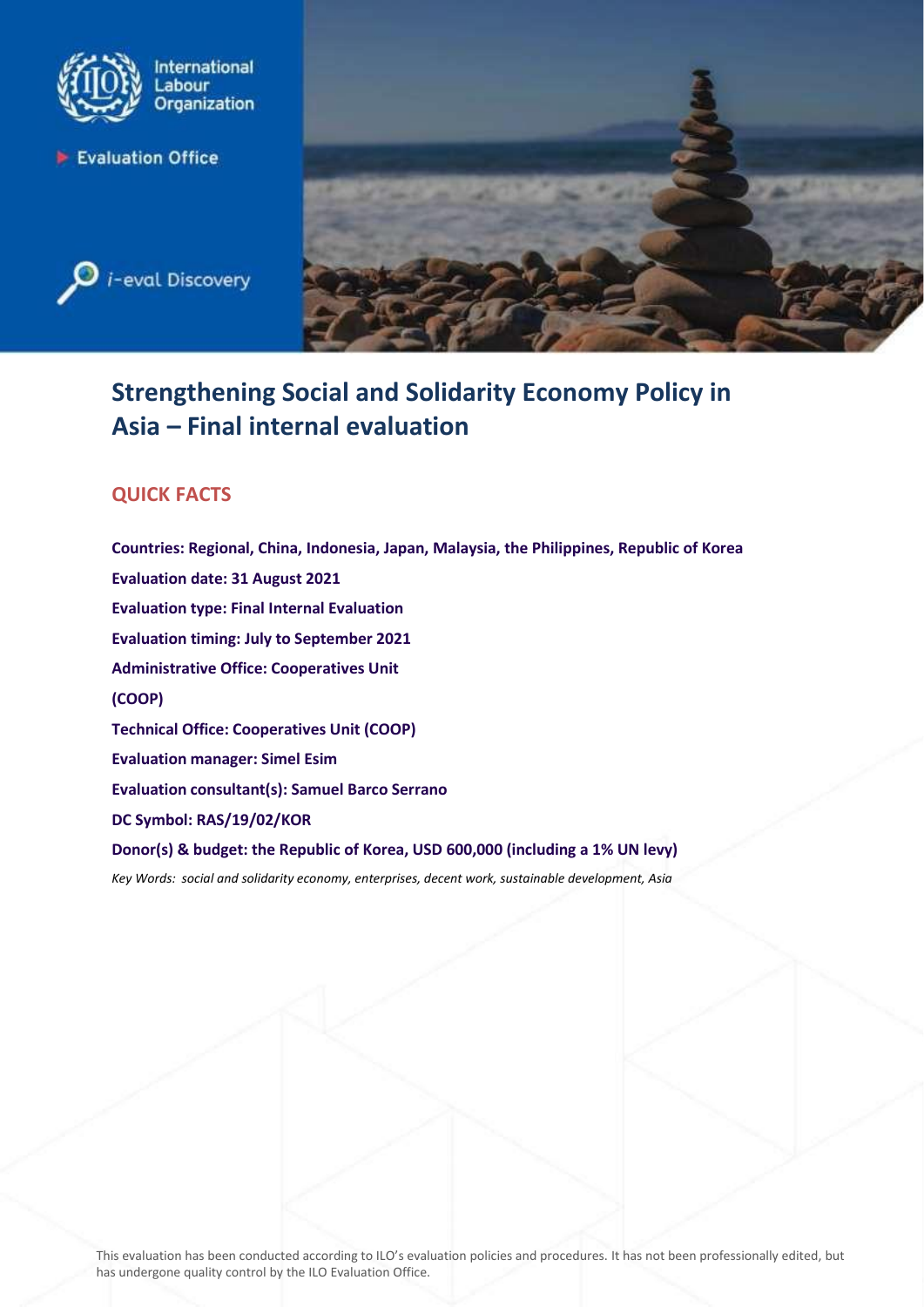





# **Strengthening Social and Solidarity Economy Policy in Asia – Final internal evaluation**

# **QUICK FACTS**

**Countries: Regional, China, Indonesia, Japan, Malaysia, the Philippines, Republic of Korea Evaluation date: 31 August 2021 Evaluation type: Final Internal Evaluation Evaluation timing: July to September 2021 Administrative Office: Cooperatives Unit (COOP) Technical Office: Cooperatives Unit (COOP) Evaluation manager: Simel Esim Evaluation consultant(s): Samuel Barco Serrano DC Symbol: RAS/19/02/KOR Donor(s) & budget: the Republic of Korea, USD 600,000 (including a 1% UN levy)** *Key Words: [social](http://www.ilo.org/thesaurus/) and solidarity economy, enterprises, decent work, sustainable development, Asia*

This evaluation has been conducted according to ILO's evaluation policies and procedures. It has not been professionally edited, but has undergone quality control by the ILO Evaluation Office.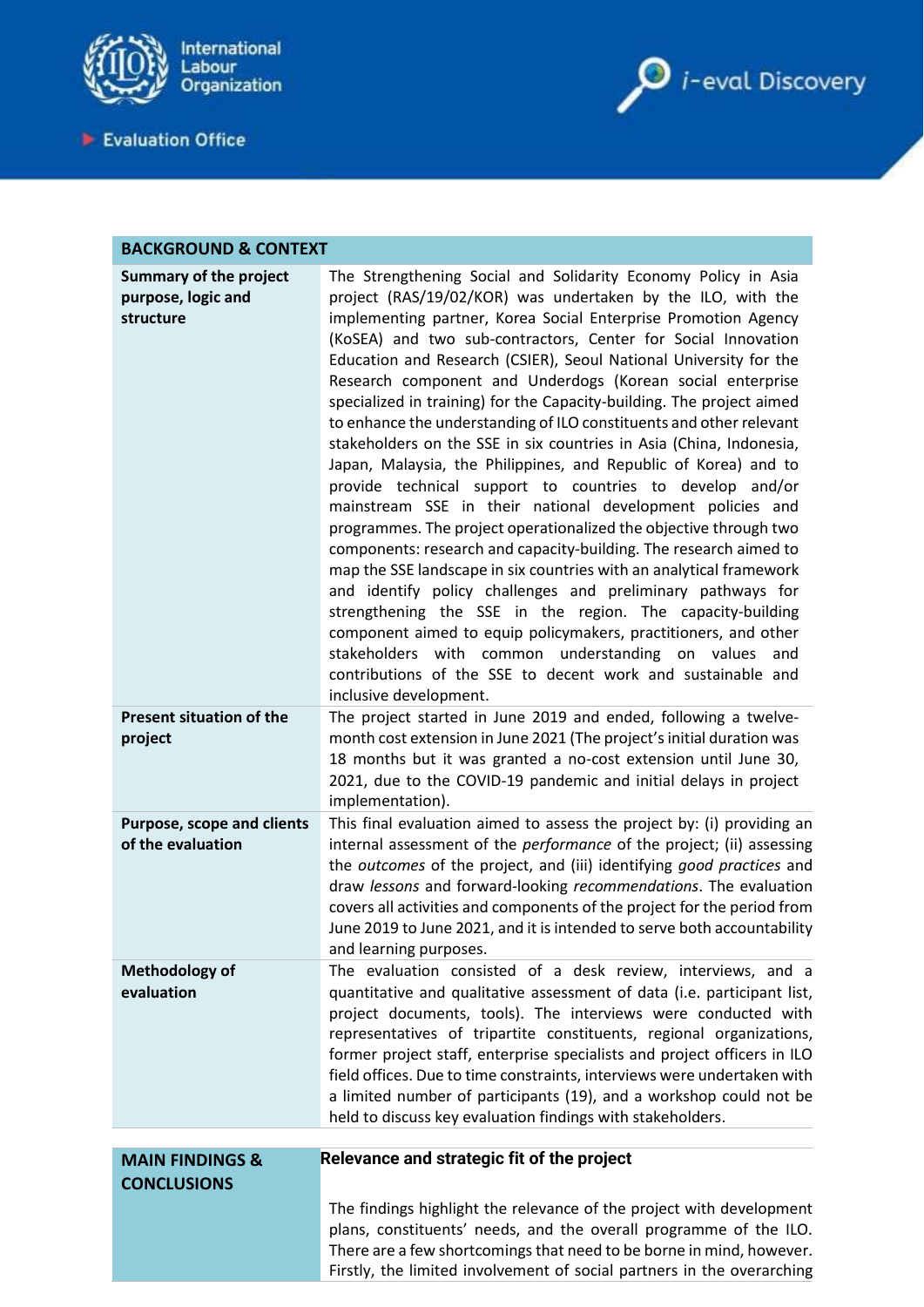

Evaluation Office



| <b>BACKGROUND &amp; CONTEXT</b>                                          |                                                                                                                                                                                                                                                                                                                                                                                                                                                                                                                                                                                                                                                                                                                                                                                                                                                                                                                                                                                                                                                                                                                                                                                                                                                                                                                                                                                             |
|--------------------------------------------------------------------------|---------------------------------------------------------------------------------------------------------------------------------------------------------------------------------------------------------------------------------------------------------------------------------------------------------------------------------------------------------------------------------------------------------------------------------------------------------------------------------------------------------------------------------------------------------------------------------------------------------------------------------------------------------------------------------------------------------------------------------------------------------------------------------------------------------------------------------------------------------------------------------------------------------------------------------------------------------------------------------------------------------------------------------------------------------------------------------------------------------------------------------------------------------------------------------------------------------------------------------------------------------------------------------------------------------------------------------------------------------------------------------------------|
| <b>Summary of the project</b><br>purpose, logic and<br>structure         | The Strengthening Social and Solidarity Economy Policy in Asia<br>project (RAS/19/02/KOR) was undertaken by the ILO, with the<br>implementing partner, Korea Social Enterprise Promotion Agency<br>(KoSEA) and two sub-contractors, Center for Social Innovation<br>Education and Research (CSIER), Seoul National University for the<br>Research component and Underdogs (Korean social enterprise<br>specialized in training) for the Capacity-building. The project aimed<br>to enhance the understanding of ILO constituents and other relevant<br>stakeholders on the SSE in six countries in Asia (China, Indonesia,<br>Japan, Malaysia, the Philippines, and Republic of Korea) and to<br>provide technical support to countries to develop and/or<br>mainstream SSE in their national development policies and<br>programmes. The project operationalized the objective through two<br>components: research and capacity-building. The research aimed to<br>map the SSE landscape in six countries with an analytical framework<br>and identify policy challenges and preliminary pathways for<br>strengthening the SSE in the region. The capacity-building<br>component aimed to equip policymakers, practitioners, and other<br>stakeholders with common understanding on values<br>and<br>contributions of the SSE to decent work and sustainable and<br>inclusive development. |
| <b>Present situation of the</b><br>project                               | The project started in June 2019 and ended, following a twelve-<br>month cost extension in June 2021 (The project's initial duration was<br>18 months but it was granted a no-cost extension until June 30,<br>2021, due to the COVID-19 pandemic and initial delays in project<br>implementation).                                                                                                                                                                                                                                                                                                                                                                                                                                                                                                                                                                                                                                                                                                                                                                                                                                                                                                                                                                                                                                                                                         |
| Purpose, scope and clients<br>of the evaluation                          | This final evaluation aimed to assess the project by: (i) providing an<br>internal assessment of the <i>performance</i> of the project; (ii) assessing<br>the outcomes of the project, and (iii) identifying good practices and<br>draw lessons and forward-looking recommendations. The evaluation<br>covers all activities and components of the project for the period from<br>June 2019 to June 2021, and it is intended to serve both accountability<br>and learning purposes.                                                                                                                                                                                                                                                                                                                                                                                                                                                                                                                                                                                                                                                                                                                                                                                                                                                                                                         |
| <b>Methodology of</b><br>evaluation                                      | The evaluation consisted of a desk review, interviews, and a<br>quantitative and qualitative assessment of data (i.e. participant list,<br>project documents, tools). The interviews were conducted with<br>representatives of tripartite constituents, regional organizations,<br>former project staff, enterprise specialists and project officers in ILO<br>field offices. Due to time constraints, interviews were undertaken with<br>a limited number of participants (19), and a workshop could not be<br>held to discuss key evaluation findings with stakeholders.                                                                                                                                                                                                                                                                                                                                                                                                                                                                                                                                                                                                                                                                                                                                                                                                                  |
| Relevance and strategic fit of the project<br><b>MAIN FINDINGS &amp;</b> |                                                                                                                                                                                                                                                                                                                                                                                                                                                                                                                                                                                                                                                                                                                                                                                                                                                                                                                                                                                                                                                                                                                                                                                                                                                                                                                                                                                             |
| <b>CONCLUSIONS</b>                                                       |                                                                                                                                                                                                                                                                                                                                                                                                                                                                                                                                                                                                                                                                                                                                                                                                                                                                                                                                                                                                                                                                                                                                                                                                                                                                                                                                                                                             |
|                                                                          | The findings highlight the relevance of the project with development<br>plans, constituents' needs, and the overall programme of the ILO.<br>There are a few shortcomings that need to be borne in mind, however.<br>Firstly, the limited involvement of social partners in the overarching                                                                                                                                                                                                                                                                                                                                                                                                                                                                                                                                                                                                                                                                                                                                                                                                                                                                                                                                                                                                                                                                                                 |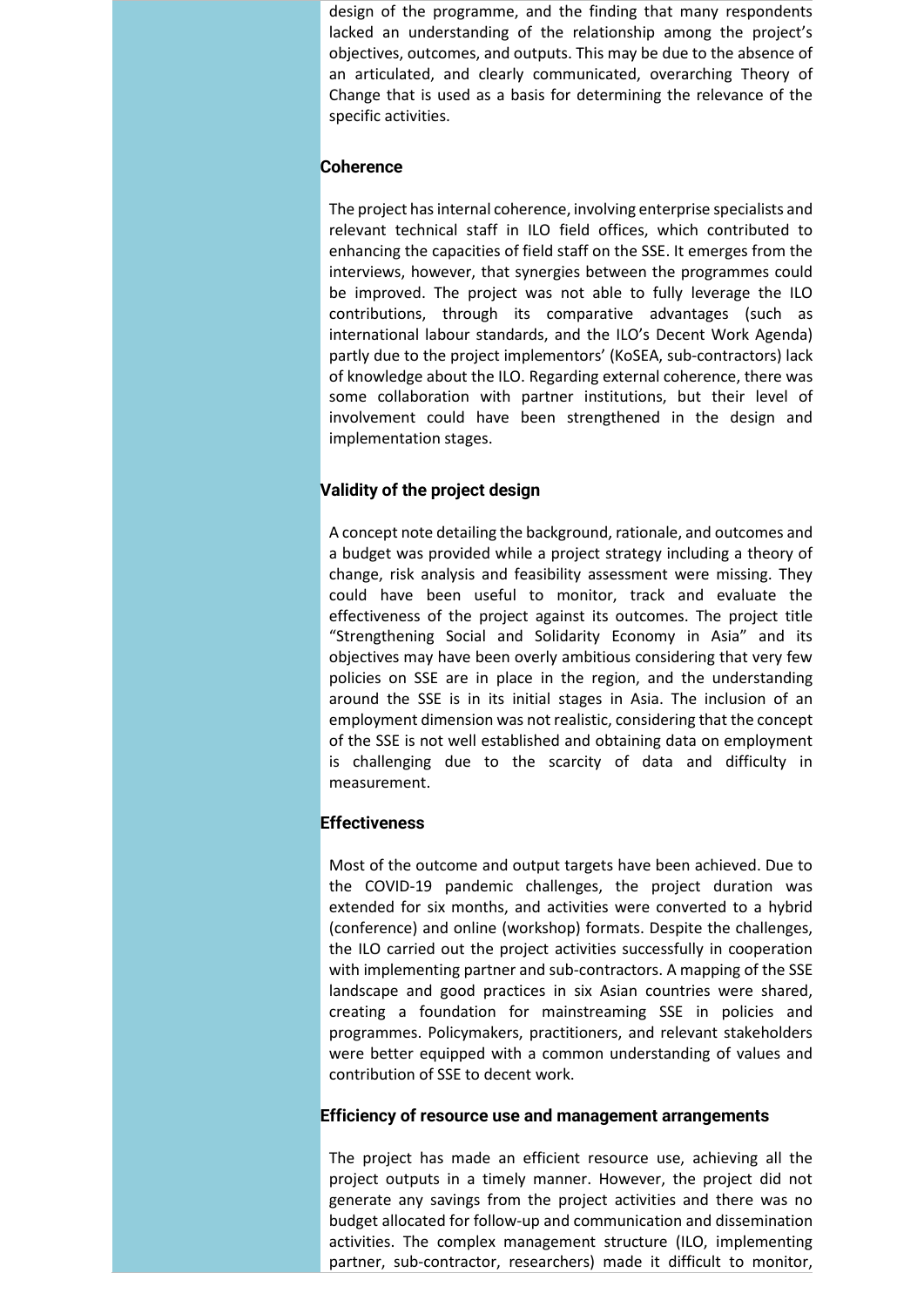design of the programme, and the finding that many respondents lacked an understanding of the relationship among the project's objectives, outcomes, and outputs. This may be due to the absence of an articulated, and clearly communicated, overarching Theory of Change that is used as a basis for determining the relevance of the specific activities.

#### **Coherence**

The project has internal coherence, involving enterprise specialists and relevant technical staff in ILO field offices, which contributed to enhancing the capacities of field staff on the SSE. It emerges from the interviews, however, that synergies between the programmes could be improved. The project was not able to fully leverage the ILO contributions, through its comparative advantages (such as international labour standards, and the ILO's Decent Work Agenda) partly due to the project implementors' (KoSEA, sub-contractors) lack of knowledge about the ILO. Regarding external coherence, there was some collaboration with partner institutions, but their level of involvement could have been strengthened in the design and implementation stages.

# **Validity of the project design**

A concept note detailing the background, rationale, and outcomes and a budget was provided while a project strategy including a theory of change, risk analysis and feasibility assessment were missing. They could have been useful to monitor, track and evaluate the effectiveness of the project against its outcomes. The project title "Strengthening Social and Solidarity Economy in Asia" and its objectives may have been overly ambitious considering that very few policies on SSE are in place in the region, and the understanding around the SSE is in its initial stages in Asia. The inclusion of an employment dimension was not realistic, considering that the concept of the SSE is not well established and obtaining data on employment is challenging due to the scarcity of data and difficulty in measurement.

#### **Effectiveness**

Most of the outcome and output targets have been achieved. Due to the COVID-19 pandemic challenges, the project duration was extended for six months, and activities were converted to a hybrid (conference) and online (workshop) formats. Despite the challenges, the ILO carried out the project activities successfully in cooperation with implementing partner and sub-contractors. A mapping of the SSE landscape and good practices in six Asian countries were shared, creating a foundation for mainstreaming SSE in policies and programmes. Policymakers, practitioners, and relevant stakeholders were better equipped with a common understanding of values and contribution of SSE to decent work.

#### **Efficiency of resource use and management arrangements**

The project has made an efficient resource use, achieving all the project outputs in a timely manner. However, the project did not generate any savings from the project activities and there was no budget allocated for follow-up and communication and dissemination activities. The complex management structure (ILO, implementing partner, sub-contractor, researchers) made it difficult to monitor,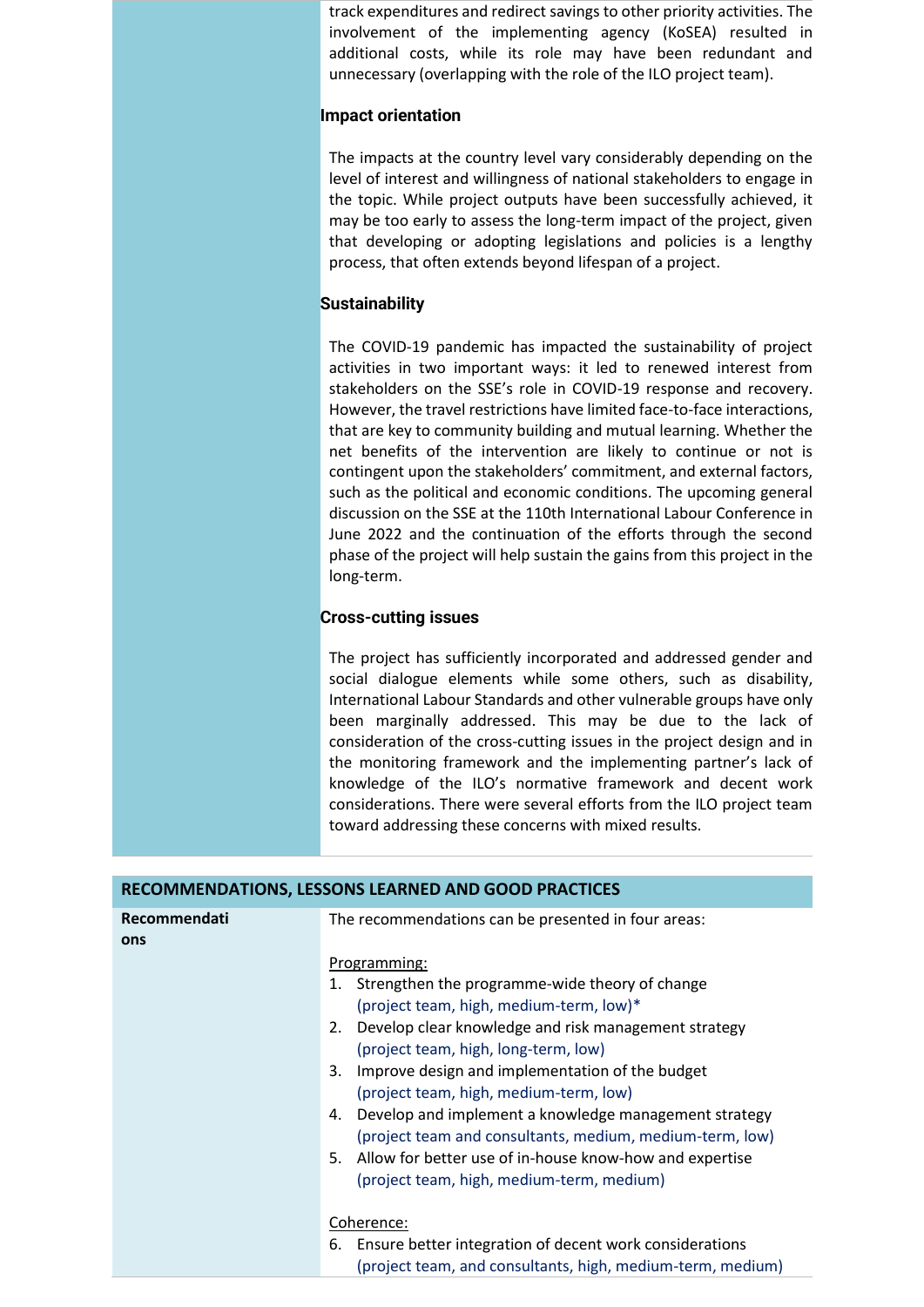track expenditures and redirect savings to other priority activities. The involvement of the implementing agency (KoSEA) resulted in additional costs, while its role may have been redundant and unnecessary (overlapping with the role of the ILO project team).

#### **Impact orientation**

The impacts at the country level vary considerably depending on the level of interest and willingness of national stakeholders to engage in the topic. While project outputs have been successfully achieved, it may be too early to assess the long-term impact of the project, given that developing or adopting legislations and policies is a lengthy process, that often extends beyond lifespan of a project.

### **Sustainability**

The COVID-19 pandemic has impacted the sustainability of project activities in two important ways: it led to renewed interest from stakeholders on the SSE's role in COVID-19 response and recovery. However, the travel restrictions have limited face-to-face interactions, that are key to community building and mutual learning. Whether the net benefits of the intervention are likely to continue or not is contingent upon the stakeholders' commitment, and external factors, such as the political and economic conditions. The upcoming general discussion on the SSE at the 110th International Labour Conference in June 2022 and the continuation of the efforts through the second phase of the project will help sustain the gains from this project in the long-term.

# **Cross-cutting issues**

The project has sufficiently incorporated and addressed gender and social dialogue elements while some others, such as disability, International Labour Standards and other vulnerable groups have only been marginally addressed. This may be due to the lack of consideration of the cross-cutting issues in the project design and in the monitoring framework and the implementing partner's lack of knowledge of the ILO's normative framework and decent work considerations. There were several efforts from the ILO project team toward addressing these concerns with mixed results.

| RECOMMENDATIONS, LESSONS LEARNED AND GOOD PRACTICES |                                                                                                                                                                                                                                                                                                                                                                                                                                                                                                                   |  |
|-----------------------------------------------------|-------------------------------------------------------------------------------------------------------------------------------------------------------------------------------------------------------------------------------------------------------------------------------------------------------------------------------------------------------------------------------------------------------------------------------------------------------------------------------------------------------------------|--|
| Recommendati<br>ons                                 | The recommendations can be presented in four areas:                                                                                                                                                                                                                                                                                                                                                                                                                                                               |  |
|                                                     | Programming:<br>1. Strengthen the programme-wide theory of change<br>(project team, high, medium-term, low)*<br>Develop clear knowledge and risk management strategy<br>2.<br>(project team, high, long-term, low)<br>Improve design and implementation of the budget<br>3.<br>(project team, high, medium-term, low)<br>Develop and implement a knowledge management strategy<br>4.<br>(project team and consultants, medium, medium-term, low)<br>Allow for better use of in-house know-how and expertise<br>5. |  |
|                                                     | (project team, high, medium-term, medium)<br>Coherence:<br>Ensure better integration of decent work considerations<br>6.<br>(project team, and consultants, high, medium-term, medium)                                                                                                                                                                                                                                                                                                                            |  |